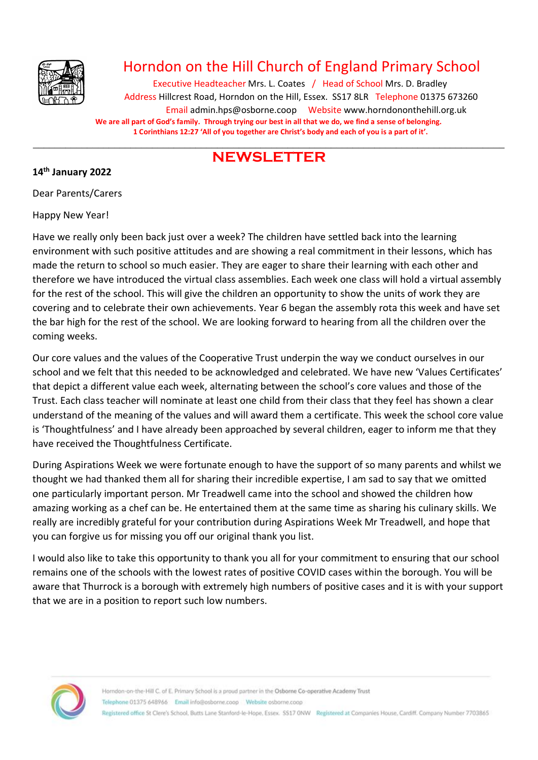

# Horndon on the Hill Church of England Primary School

Executive Headteacher Mrs. L. Coates / Head of School Mrs. D. Bradley Address Hillcrest Road, Horndon on the Hill, Essex. SS17 8LR Telephone 01375 673260 Email admin.hps@osborne.coop Websit[e www.horndononthehill.org.uk](http://www.horndononthehill.org.uk/) **We are all part of God's family. Through trying our best in all that we do, we find a sense of belonging. 1 Corinthians 12:27 'All of you together are Christ's body and each of you is a part of it'.**

# \_\_\_\_\_\_\_\_\_\_\_\_\_\_\_\_\_\_\_\_\_\_\_\_\_\_\_\_\_\_\_\_\_\_\_\_\_\_\_\_\_\_\_\_\_\_\_\_\_\_\_\_\_\_\_\_\_\_\_\_\_\_\_\_\_\_\_\_\_\_\_\_\_\_\_\_\_\_\_\_\_\_\_\_\_\_\_ **NEWSLETTER**

### **14th January 2022**

Dear Parents/Carers

Happy New Year!

Have we really only been back just over a week? The children have settled back into the learning environment with such positive attitudes and are showing a real commitment in their lessons, which has made the return to school so much easier. They are eager to share their learning with each other and therefore we have introduced the virtual class assemblies. Each week one class will hold a virtual assembly for the rest of the school. This will give the children an opportunity to show the units of work they are covering and to celebrate their own achievements. Year 6 began the assembly rota this week and have set the bar high for the rest of the school. We are looking forward to hearing from all the children over the coming weeks.

Our core values and the values of the Cooperative Trust underpin the way we conduct ourselves in our school and we felt that this needed to be acknowledged and celebrated. We have new 'Values Certificates' that depict a different value each week, alternating between the school's core values and those of the Trust. Each class teacher will nominate at least one child from their class that they feel has shown a clear understand of the meaning of the values and will award them a certificate. This week the school core value is 'Thoughtfulness' and I have already been approached by several children, eager to inform me that they have received the Thoughtfulness Certificate.

During Aspirations Week we were fortunate enough to have the support of so many parents and whilst we thought we had thanked them all for sharing their incredible expertise, I am sad to say that we omitted one particularly important person. Mr Treadwell came into the school and showed the children how amazing working as a chef can be. He entertained them at the same time as sharing his culinary skills. We really are incredibly grateful for your contribution during Aspirations Week Mr Treadwell, and hope that you can forgive us for missing you off our original thank you list.

I would also like to take this opportunity to thank you all for your commitment to ensuring that our school remains one of the schools with the lowest rates of positive COVID cases within the borough. You will be aware that Thurrock is a borough with extremely high numbers of positive cases and it is with your support that we are in a position to report such low numbers.

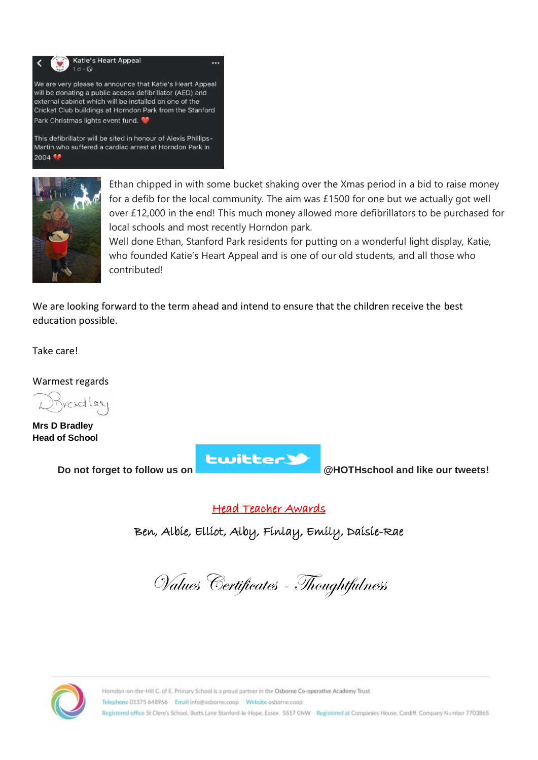

This defibrillator will be sited in honour of Alexis Phillips-Martin who suffered a cardiac arrest at Horndon Park in 2004



Ethan chipped in with some bucket shaking over the Xmas period in a bid to raise money for a defib for the local community. The aim was £1500 for one but we actually got well over £12,000 in the end! This much money allowed more defibrillators to be purchased for local schools and most recently Horndon park.

Well done Ethan, Stanford Park residents for putting on a wonderful light display, Katie, who founded Katie's Heart Appeal and is one of our old students, and all those who contributed!

We are looking forward to the term ahead and intend to ensure that the children receive the best education possible.

Take care!

Warmest regards

radley

**Mrs D Bradley Head of School**

**Lwitter3** 

**Do not forget to follow us on @HOTHschool and like our tweets!**

Head Teacher Awards

Ben, Albie, Elliot, Alby, Finlay, Emily, Daisie-Rae

Values Certificates - Thoughtfulness

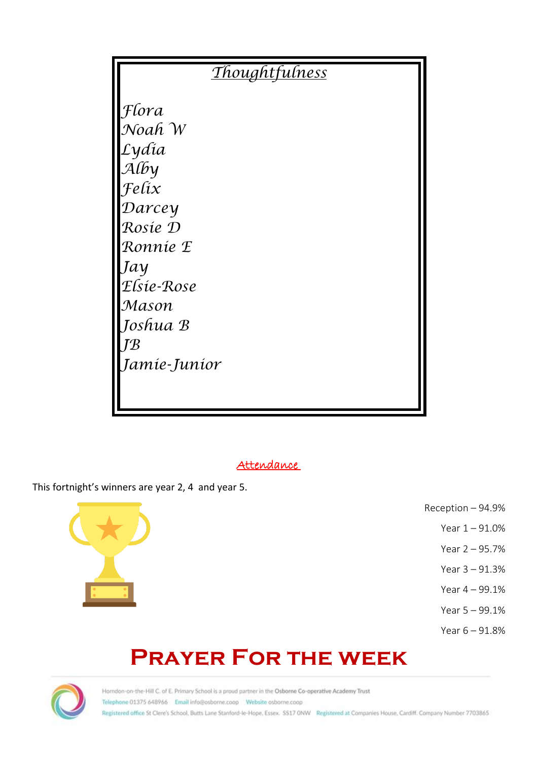| <b>Thoughtfulness</b> |  |
|-----------------------|--|
| Flora                 |  |
| Noah W                |  |
| Lydía                 |  |
| $\mathcal{A}$ (by     |  |
| Felix                 |  |
| Darcey                |  |
| Rosie D               |  |
| Ronnie E              |  |
| Jay                   |  |
| Elsie-Rose            |  |
| Mason                 |  |
| Joshua B              |  |
| $T\mathcal{B}$        |  |
| Jamie-Junior          |  |
|                       |  |
|                       |  |

# Attendance

This fortnight's winners are year 2, 4 and year 5.



- Reception 94.9%
	- Year 1 91.0%
	- Year 2 95.7%
	- Year 3 91.3%
	- Year 4 99.1%
	- Year 5 99.1%
	- Year 6 91.8%

# **Prayer For the week**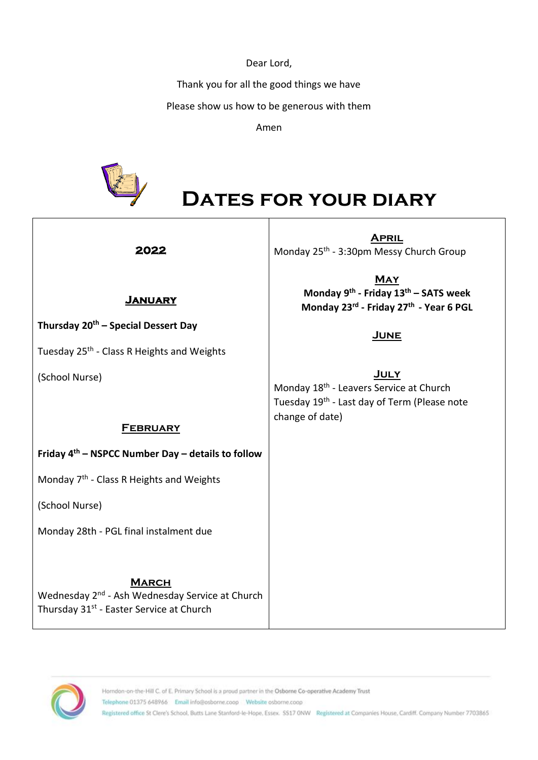Dear Lord,

Thank you for all the good things we have

Please show us how to be generous with them

Amen



**Thursday 20th – Special Dessert Day**

Tuesday 25<sup>th</sup> - Class R Heights and Weights

# **Dates for your diary**

### **2022**

**January** 

**April** Monday 25<sup>th</sup> - 3:30pm Messy Church Group

> **May Monday 9th - Friday 13 th – SATS week Monday 23rd - Friday 27th - Year 6 PGL**

# **June**

**July**

Monday 18<sup>th</sup> - Leavers Service at Church Tuesday 19<sup>th</sup> - Last day of Term (Please note change of date)

## **February**

# **Friday 4th – NSPCC Number Day – details to follow**

Monday 7<sup>th</sup> - Class R Heights and Weights

(School Nurse)

(School Nurse)

Monday 28th - PGL final instalment due

# **March**

Wednesday 2<sup>nd</sup> - Ash Wednesday Service at Church Thursday 31<sup>st</sup> - Easter Service at Church

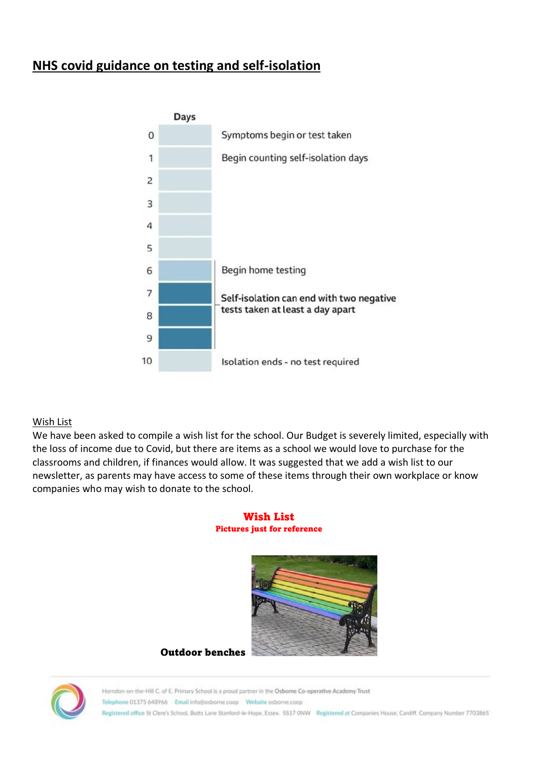# **NHS covid guidance on testing and self-isolation**



#### Wish List

We have been asked to compile a wish list for the school. Our Budget is severely limited, especially with the loss of income due to Covid, but there are items as a school we would love to purchase for the classrooms and children, if finances would allow. It was suggested that we add a wish list to our newsletter, as parents may have access to some of these items through their own workplace or know companies who may wish to donate to the school.

#### Wish List Pictures just for reference



Outdoor benches

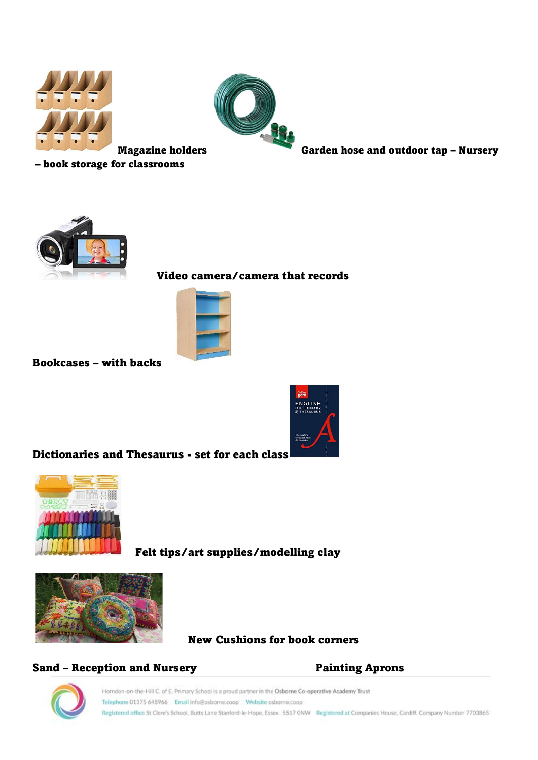



Magazine holders Garden hose and outdoor tap – Nursery

– book storage for classrooms



# Video camera/camera that records



Bookcases – with backs



Dictionaries and Thesaurus - set for each class



Felt tips/art supplies/modelling clay



New Cushions for book corners

## Sand – Reception and Nursery **Painting Aprons**

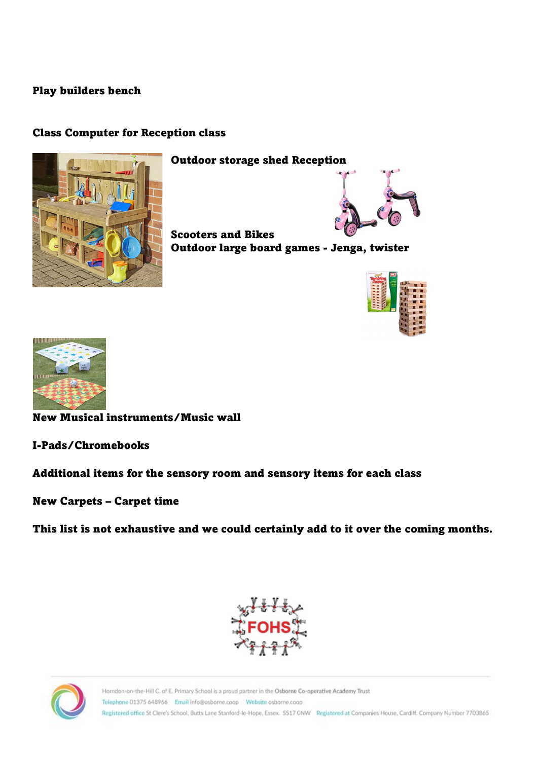# Play builders bench

# Class Computer for Reception class



Outdoor storage shed Reception



Scooters and Bikes Outdoor large board games - Jenga, twister





New Musical instruments/Music wall

I-Pads/Chromebooks

Additional items for the sensory room and sensory items for each class

New Carpets – Carpet time

This list is not exhaustive and we could certainly add to it over the coming months.



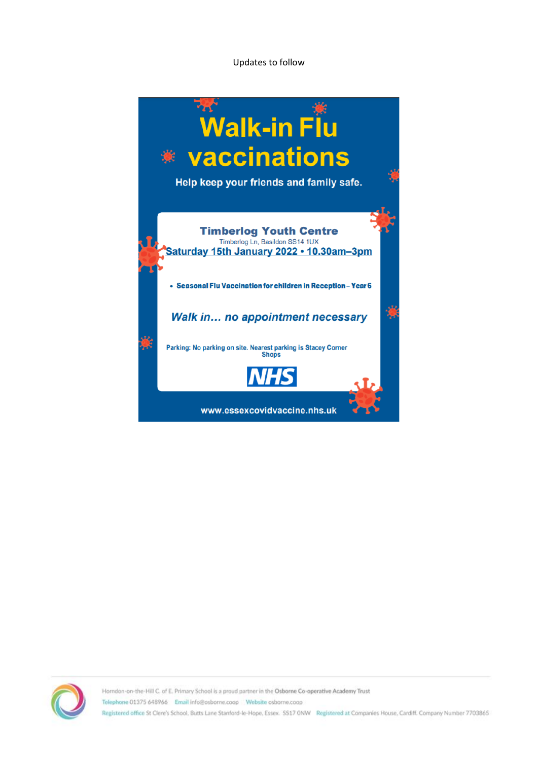Updates to follow